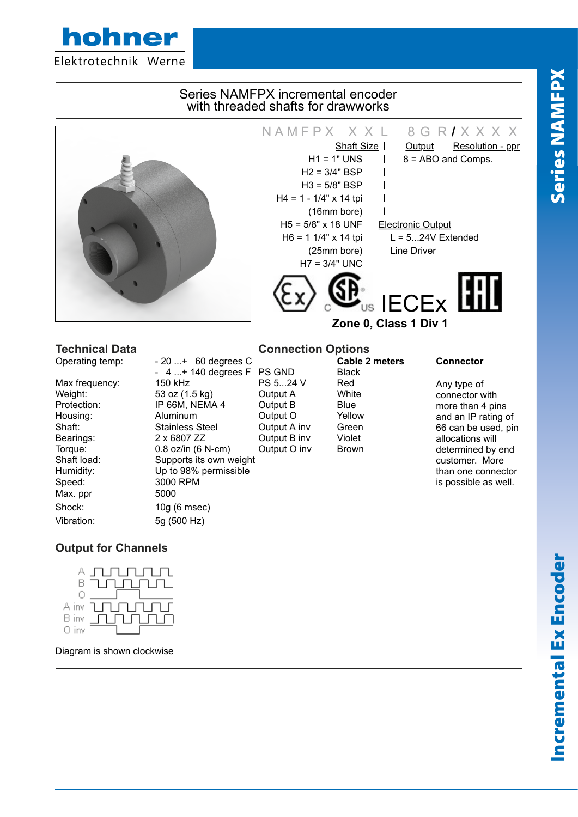Series NAMFPX Series NAMFPX



 $H_{\text{H}}$  distributors Terms About Us  $T_{\text{H}}$ 

Speed: 3000 RPM Max. ppr 5000 Shock: 10g (6 msec) Vibration: 5g (500 Hz)

Weight: 53 oz (1.5 kg) Output A<br>Protection: IP 66M, NEMA 4 Output B  $IP 66M$ ,  $NEMA 4$  Output B Blue Housing: Aluminum Dutput O Yellow<br>
Stainless Steel Output A inv Green Shaft: Stainless Steel Output A inv Green<br>
Bearings: 2 x 6807 ZZ Output B inv Violet Bearings: 2 x 6807 ZZ Output B inv Torque: 0.8 oz/in (6 N-cm) Output O inv Brown Shaft load: Supports its own weight Humidity: Up to 98% permissible

Any type of connector with more than 4 pins and an IP rating of 66 can be used, pin allocations will determined by end customer. More than one connector is possible as well.

# **Output for Channels**

hohner



Diagram is shown clockwise

Incremental Ex Encoder Incremental Ex Encoder